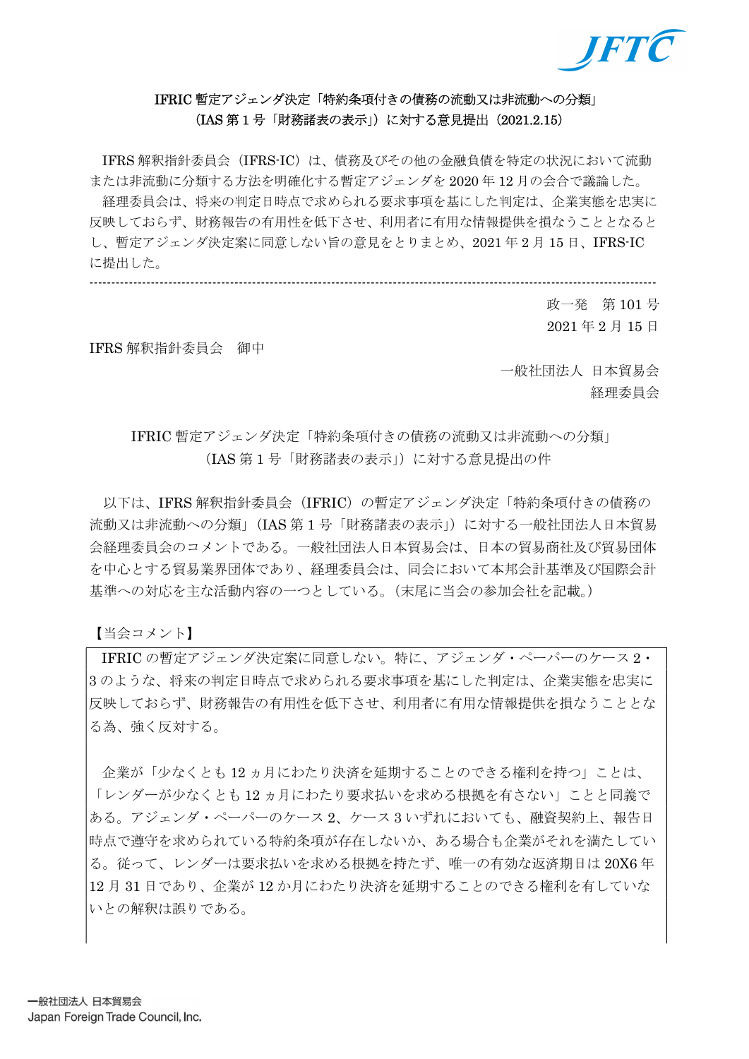

# IFRIC 暫定アジェンダ決定「特約条項付きの債務の流動又は非流動への分類」 (IAS 第 1 号「財務諸表の表示」)に対する意見提出(2021.2.15)

IFRS 解釈指針委員会 (IFRS-IC)は、債務及びその他の金融負債を特定の状況において流動 または非流動に分類する方法を明確化する暫定アジェンダを 2020 年 12 月の会合で議論した。 経理委員会は、将来の判定日時点で求められる要求事項を基にした判定は、企業実態を忠実に 反映しておらず、財務報告の有用性を低下させ、利用者に有用な情報提供を損なうこととなると し、暫定アジェンダ決定案に同意しない旨の意見をとりまとめ、2021 年 2 月 15 日、IFRS-IC に提出した。

---------------------------------------------------------------------------------------------------------------------------------

政一発 第 101 号 2021 年 2 月 15 日

IFRS 解釈指針委員会 御中

一般社団法人 日本貿易会 経理委員会

# IFRIC 暫定アジェンダ決定「特約条項付きの債務の流動又は非流動への分類」 (IAS 第 1 号「財務諸表の表示」)に対する意見提出の件

以下は、IFRS 解釈指針委員会(IFRIC)の暫定アジェンダ決定「特約条項付きの債務の 流動又は非流動への分類」(IAS 第1号「財務諸表の表示」)に対する一般社団法人日本貿易 会経理委員会のコメントである。一般社団法人日本貿易会は、日本の貿易商社及び貿易団体 を中心とする貿易業界団体であり、経理委員会は、同会において本邦会計基準及び国際会計 基準への対応を主な活動内容の一つとしている。(末尾に当会の参加会社を記載。)

【当会コメント】

IFRIC の暫定アジェンダ決定案に同意しない。特に、アジェンダ・ペーパーのケース 2・ 3 のような、将来の判定日時点で求められる要求事項を基にした判定は、企業実態を忠実に 反映しておらず、財務報告の有用性を低下させ、利用者に有用な情報提供を損なうこととな る為、強く反対する。

 企業が「少なくとも 12 ヵ月にわたり決済を延期することのできる権利を持つ」ことは、 「レンダーが少なくとも 12 ヵ月にわたり要求払いを求める根拠を有さない」ことと同義で ある。アジェンダ・ペーパーのケース 2、ケース 3 いずれにおいても、融資契約上、報告日 時点で遵守を求められている特約条項が存在しないか、ある場合も企業がそれを満たしてい る。従って、レンダーは要求払いを求める根拠を持たず、唯一の有効な返済期日は 20X6 年 12 月 31 日であり、企業が 12 か月にわたり決済を延期することのできる権利を有していな いとの解釈は誤りである。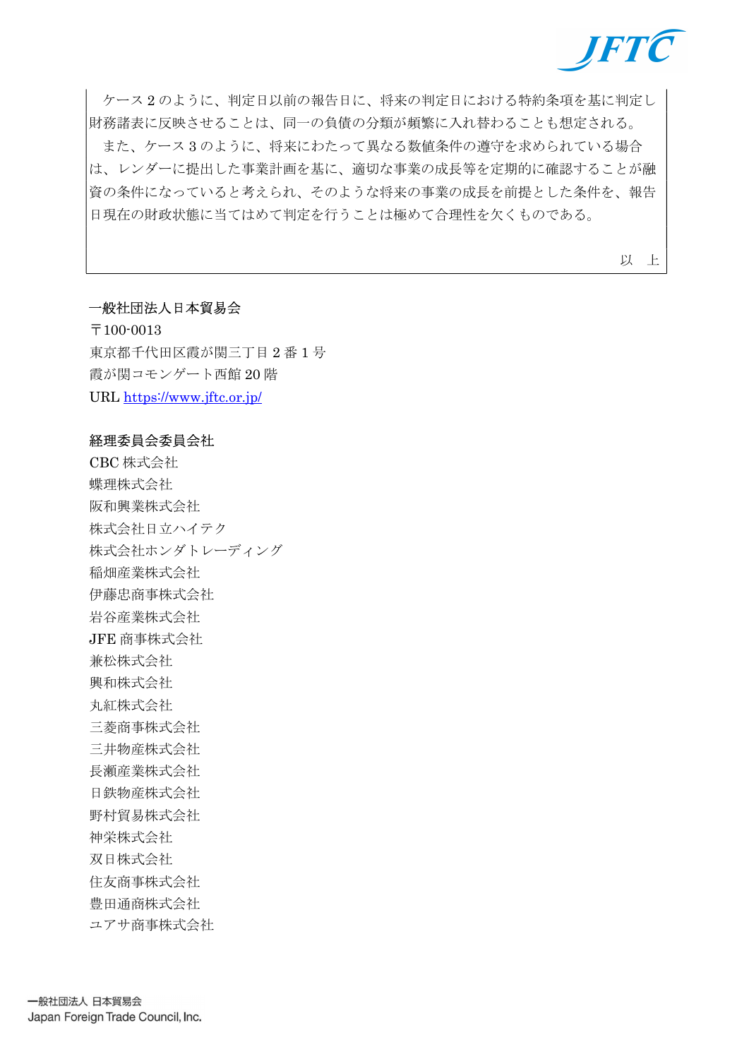

 ケース 2 のように、判定日以前の報告日に、将来の判定日における特約条項を基に判定し 財務諸表に反映させることは、同一の負債の分類が頻繁に入れ替わることも想定される。

 また、ケース 3 のように、将来にわたって異なる数値条件の遵守を求められている場合 は、レンダーに提出した事業計画を基に、適切な事業の成長等を定期的に確認することが融 資の条件になっていると考えられ、そのような将来の事業の成長を前提とした条件を、報告 日現在の財政状態に当てはめて判定を行うことは極めて合理性を欠くものである。

以 上

## 一般社団法人日本貿易会

〒100-0013 東京都千代田区霞が関三丁目 2 番 1 号 霞が関コモンゲート西館 20 階 URL https://www.jftc.or.jp/

### 経理委員会委員会社

CBC 株式会社 蝶理株式会社 阪和興業株式会社 株式会社日立ハイテク 株式会社ホンダトレーディング 稲畑産業株式会社 伊藤忠商事株式会社 岩谷産業株式会社 JFE 商事株式会社 兼松株式会社 興和株式会社 丸紅株式会社 三菱商事株式会社 三井物産株式会社 長瀬産業株式会社 日鉄物産株式会社 野村貿易株式会社 神栄株式会社 双日株式会社 住友商事株式会社 豊田通商株式会社 ユアサ商事株式会社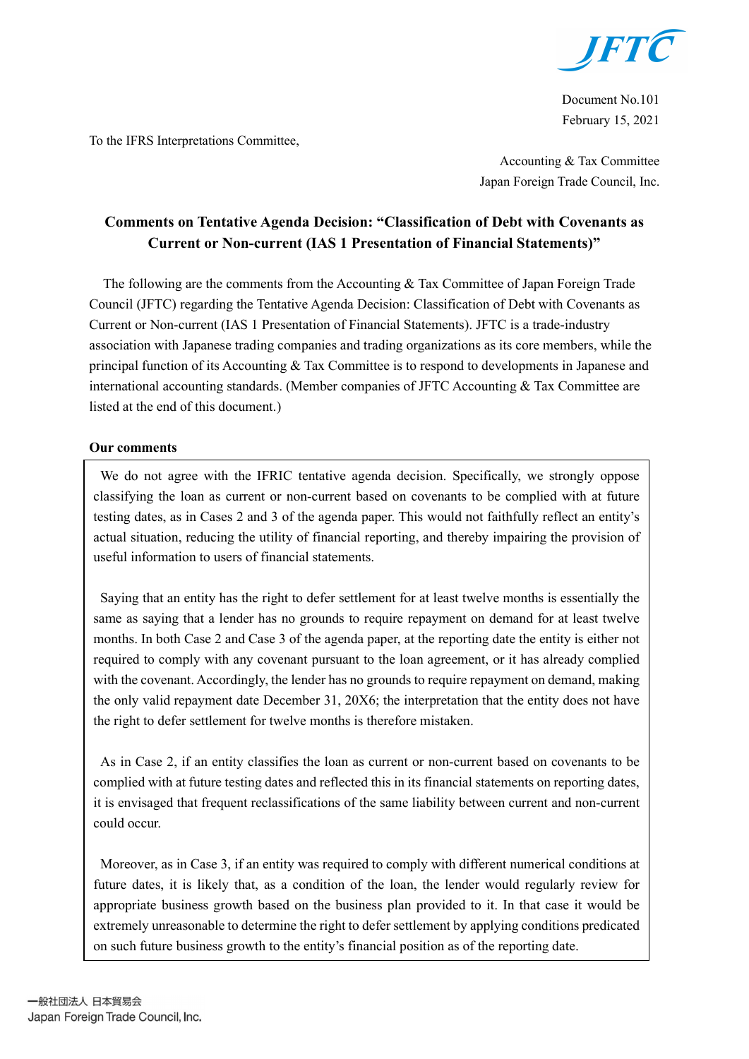

Document No.101 February 15, 2021

To the IFRS Interpretations Committee,

Accounting & Tax Committee Japan Foreign Trade Council, Inc.

# Comments on Tentative Agenda Decision: "Classification of Debt with Covenants as Current or Non-current (IAS 1 Presentation of Financial Statements)"

The following are the comments from the Accounting & Tax Committee of Japan Foreign Trade Council (JFTC) regarding the Tentative Agenda Decision: Classification of Debt with Covenants as Current or Non-current (IAS 1 Presentation of Financial Statements). JFTC is a trade-industry association with Japanese trading companies and trading organizations as its core members, while the principal function of its Accounting & Tax Committee is to respond to developments in Japanese and international accounting standards. (Member companies of JFTC Accounting & Tax Committee are listed at the end of this document.)

## Our comments

We do not agree with the IFRIC tentative agenda decision. Specifically, we strongly oppose classifying the loan as current or non-current based on covenants to be complied with at future testing dates, as in Cases 2 and 3 of the agenda paper. This would not faithfully reflect an entity's actual situation, reducing the utility of financial reporting, and thereby impairing the provision of useful information to users of financial statements.

Saying that an entity has the right to defer settlement for at least twelve months is essentially the same as saying that a lender has no grounds to require repayment on demand for at least twelve months. In both Case 2 and Case 3 of the agenda paper, at the reporting date the entity is either not required to comply with any covenant pursuant to the loan agreement, or it has already complied with the covenant. Accordingly, the lender has no grounds to require repayment on demand, making the only valid repayment date December 31, 20X6; the interpretation that the entity does not have the right to defer settlement for twelve months is therefore mistaken.

As in Case 2, if an entity classifies the loan as current or non-current based on covenants to be complied with at future testing dates and reflected this in its financial statements on reporting dates, it is envisaged that frequent reclassifications of the same liability between current and non-current could occur.

Moreover, as in Case 3, if an entity was required to comply with different numerical conditions at future dates, it is likely that, as a condition of the loan, the lender would regularly review for appropriate business growth based on the business plan provided to it. In that case it would be extremely unreasonable to determine the right to defer settlement by applying conditions predicated on such future business growth to the entity's financial position as of the reporting date.